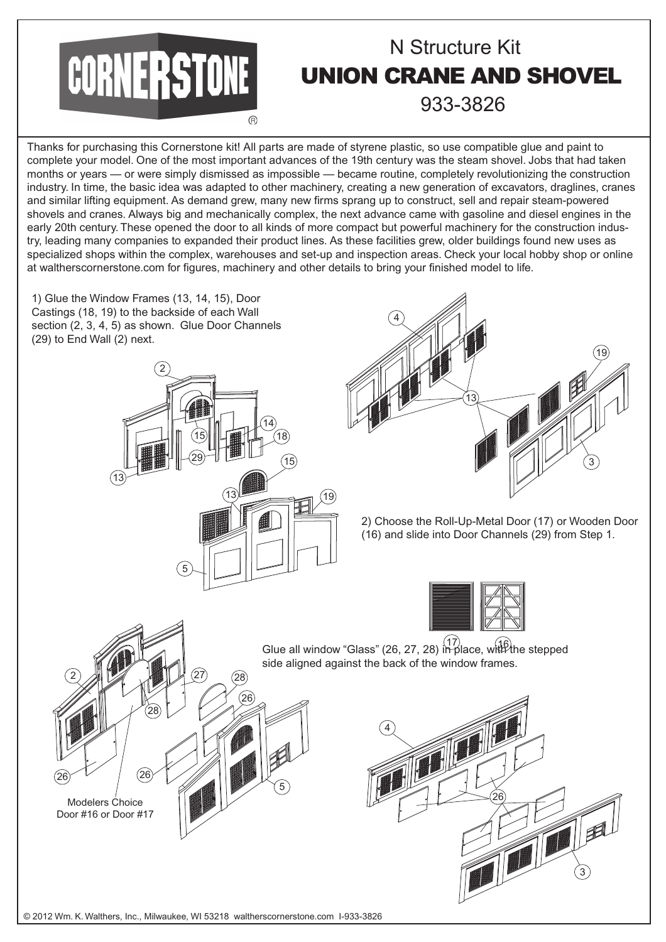

Thanks for purchasing this Cornerstone kit! All parts are made of styrene plastic, so use compatible glue and paint to complete your model. One of the most important advances of the 19th century was the steam shovel. Jobs that had taken months or years — or were simply dismissed as impossible — became routine, completely revolutionizing the construction industry. In time, the basic idea was adapted to other machinery, creating a new generation of excavators, draglines, cranes and similar lifting equipment. As demand grew, many new firms sprang up to construct, sell and repair steam-powered shovels and cranes. Always big and mechanically complex, the next advance came with gasoline and diesel engines in the early 20th century. These opened the door to all kinds of more compact but powerful machinery for the construction industry, leading many companies to expanded their product lines. As these facilities grew, older buildings found new uses as specialized shops within the complex, warehouses and set-up and inspection areas. Check your local hobby shop or online at waltherscornerstone.com for figures, machinery and other details to bring your finished model to life.

1) Glue the Window Frames (13, 14, 15), Door Castings (18, 19) to the backside of each Wall section (2, 3, 4, 5) as shown. Glue Door Channels (29) to End Wall (2) next.





2) Choose the Roll-Up-Metal Door (17) or Wooden Door (16) and slide into Door Channels (29) from Step 1.



Glue all window "Glass" (26, 27, 28) in place, with the stepped side aligned against the back of the window frames. 28 27 26 28 26 26 2 5 Modelers Choice Door #16 or Door #17